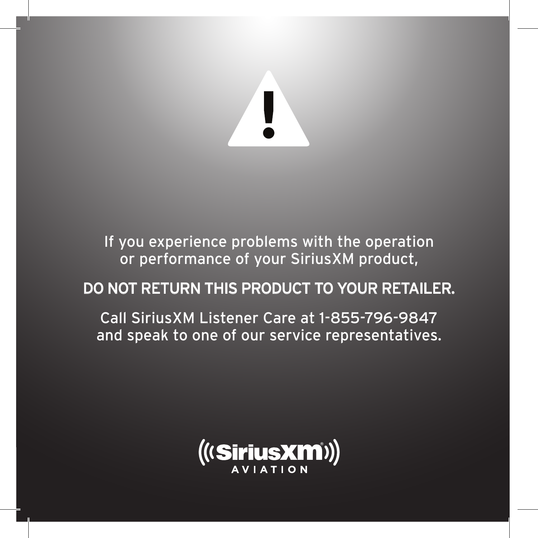

If you experience problems with the operation or performance of your SiriusXM product,

## DO NOT RETURN THIS PRODUCT TO YOUR RETAILER.

Call SiriusXM Listener Care at 1-855-796-9847 and speak to one of our service representatives.